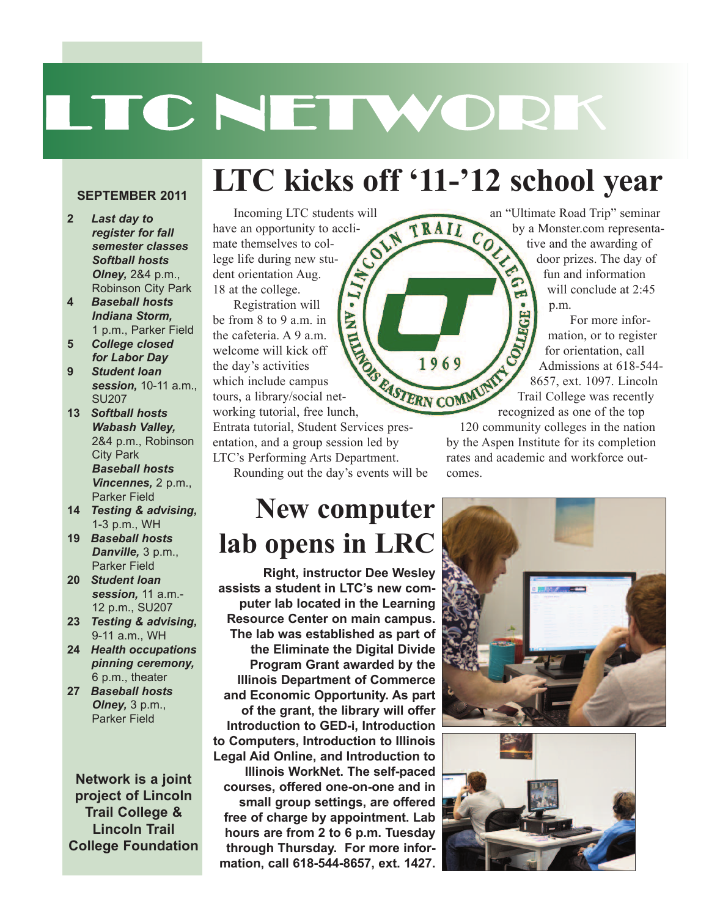# LTC NETWORK

**LTC kicks off '11-'12 school year**

TRAIL

#### **SEPTEMBER 2011**

- **2** *Last day to register for fall semester classes Softball hosts Olney,* 2&4 p.m., Robinson City Park
- **4** *Baseball hosts Indiana Storm,* 1 p.m., Parker Field
- **5** *College closed for Labor Day* **9** *Student loan*
- *session,* 10-11 a.m., SU207
- **13** *Softball hosts Wabash Valley,* 2&4 p.m., Robinson City Park *Baseball hosts Vincennes,* 2 p.m., Parker Field
- **14** *Testing & advising,* 1-3 p.m., WH
- **19** *Baseball hosts Danville,* 3 p.m., Parker Field
- **20** *Student loan session,* 11 a.m.- 12 p.m., SU207
- **23** *Testing & advising,* 9-11 a.m., WH
- **24** *Health occupations pinning ceremony,* 6 p.m., theater
- **27** *Baseball hosts Olney,* 3 p.m., Parker Field

**Network is a joint project of Lincoln Trail College & Lincoln Trail College Foundation**

#### Incoming LTC students will<br>
be an opportunity to accli-<br>
External to collecting new  $\sim$ have an opportunity to acclimate themselves to college life during new student orientation Aug.  $(I_1, \text{AN})$ 18 at the college.

Registration will be from 8 to 9 a.m. in the cafeteria. A 9 a.m. welcome will kick off the day's activities which include campus the cafeteria. A 9 a.m.<br>welcome will kick off<br>the day's activities<br>which include campus<br>tours, a library/social net-<br>the linch, working tutorial, free lunch,

Entrata tutorial, Student Services presentation, and a group session led by LTC's Performing Arts Department. Rounding out the day's events will be

### **New computer lab opens in LRC**

**Right, instructor Dee Wesley assists a student in LTC's new computer lab located in the Learning Resource Center on main campus. The lab was established as part of the Eliminate the Digital Divide Program Grant awarded by the Illinois Department of Commerce and Economic Opportunity. As part of the grant, the library will offer Introduction to GED-i, Introduction to Computers, Introduction to Illinois Legal Aid Online, and Introduction to Illinois WorkNet. The self-paced courses, offered one-on-one and in small group settings, are offered free of charge by appointment. Lab hours are from 2 to 6 p.m. Tuesday through Thursday. For more information, call 618-544-8657, ext. 1427.**

an "Ultimate Road Trip" seminar<br>by a Monster.com representa-<br>tive and the awarding of<br>door prizes. The day of by a Monster.com representative and the awarding of door prizes. The day of fun and information ۵ will conclude at 2:45 E p.m.

For more information, or to register for orientation, call Admissions at 618-544- P.m.<br>For more information, or to register<br>for orientation, call<br>Admissions at 618-544-8657, ext. 1097. Lincoln Trail College was recently recognized as one of the top

120 community colleges in the nation by the Aspen Institute for its completion rates and academic and workforce outcomes.